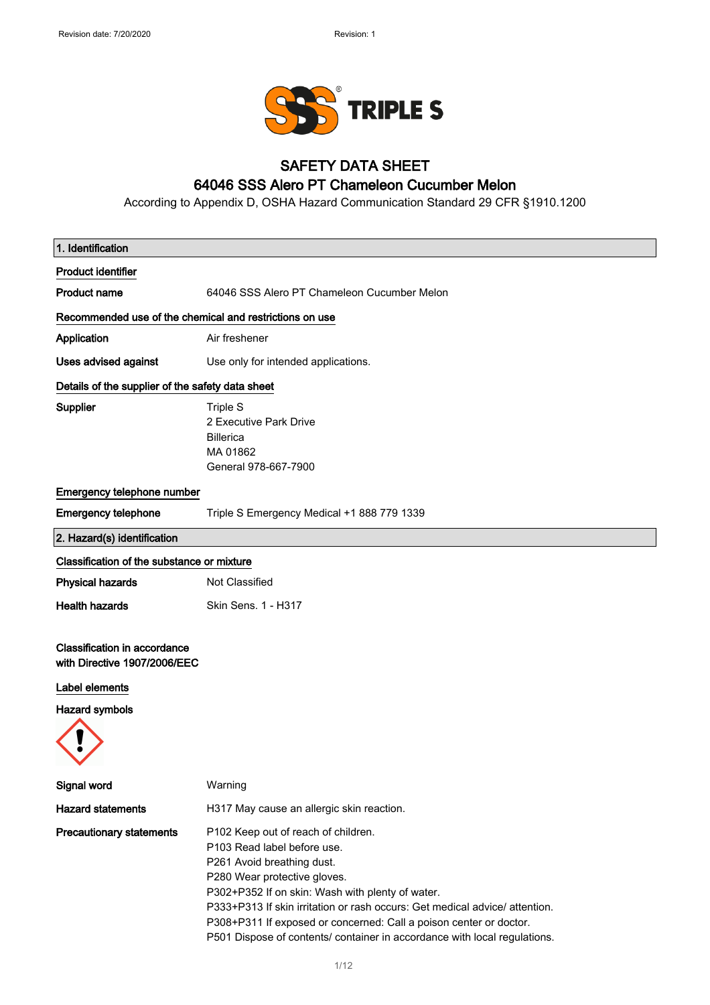

# SAFETY DATA SHEET

## 64046 SSS Alero PT Chameleon Cucumber Melon

According to Appendix D, OSHA Hazard Communication Standard 29 CFR §1910.1200

| 1. Identification                                                   |                                                                                                                                                                                                                                                                                                                                                                                                                        |
|---------------------------------------------------------------------|------------------------------------------------------------------------------------------------------------------------------------------------------------------------------------------------------------------------------------------------------------------------------------------------------------------------------------------------------------------------------------------------------------------------|
| <b>Product identifier</b>                                           |                                                                                                                                                                                                                                                                                                                                                                                                                        |
| <b>Product name</b>                                                 | 64046 SSS Alero PT Chameleon Cucumber Melon                                                                                                                                                                                                                                                                                                                                                                            |
| Recommended use of the chemical and restrictions on use             |                                                                                                                                                                                                                                                                                                                                                                                                                        |
| Application                                                         | Air freshener                                                                                                                                                                                                                                                                                                                                                                                                          |
| Uses advised against                                                | Use only for intended applications.                                                                                                                                                                                                                                                                                                                                                                                    |
| Details of the supplier of the safety data sheet                    |                                                                                                                                                                                                                                                                                                                                                                                                                        |
| <b>Supplier</b>                                                     | Triple S<br>2 Executive Park Drive<br><b>Billerica</b><br>MA 01862<br>General 978-667-7900                                                                                                                                                                                                                                                                                                                             |
| Emergency telephone number                                          |                                                                                                                                                                                                                                                                                                                                                                                                                        |
| <b>Emergency telephone</b>                                          | Triple S Emergency Medical +1 888 779 1339                                                                                                                                                                                                                                                                                                                                                                             |
| 2. Hazard(s) identification                                         |                                                                                                                                                                                                                                                                                                                                                                                                                        |
| Classification of the substance or mixture                          |                                                                                                                                                                                                                                                                                                                                                                                                                        |
| <b>Physical hazards</b>                                             | Not Classified                                                                                                                                                                                                                                                                                                                                                                                                         |
| <b>Health hazards</b>                                               | Skin Sens. 1 - H317                                                                                                                                                                                                                                                                                                                                                                                                    |
| <b>Classification in accordance</b><br>with Directive 1907/2006/EEC |                                                                                                                                                                                                                                                                                                                                                                                                                        |
| Label elements                                                      |                                                                                                                                                                                                                                                                                                                                                                                                                        |
| <b>Hazard symbols</b>                                               |                                                                                                                                                                                                                                                                                                                                                                                                                        |
|                                                                     |                                                                                                                                                                                                                                                                                                                                                                                                                        |
| Signal word                                                         | Warning                                                                                                                                                                                                                                                                                                                                                                                                                |
| <b>Hazard statements</b>                                            | H317 May cause an allergic skin reaction.                                                                                                                                                                                                                                                                                                                                                                              |
| <b>Precautionary statements</b>                                     | P102 Keep out of reach of children.<br>P103 Read label before use.<br>P261 Avoid breathing dust.<br>P280 Wear protective gloves.<br>P302+P352 If on skin: Wash with plenty of water.<br>P333+P313 If skin irritation or rash occurs: Get medical advice/ attention.<br>P308+P311 If exposed or concerned: Call a poison center or doctor.<br>P501 Dispose of contents/ container in accordance with local regulations. |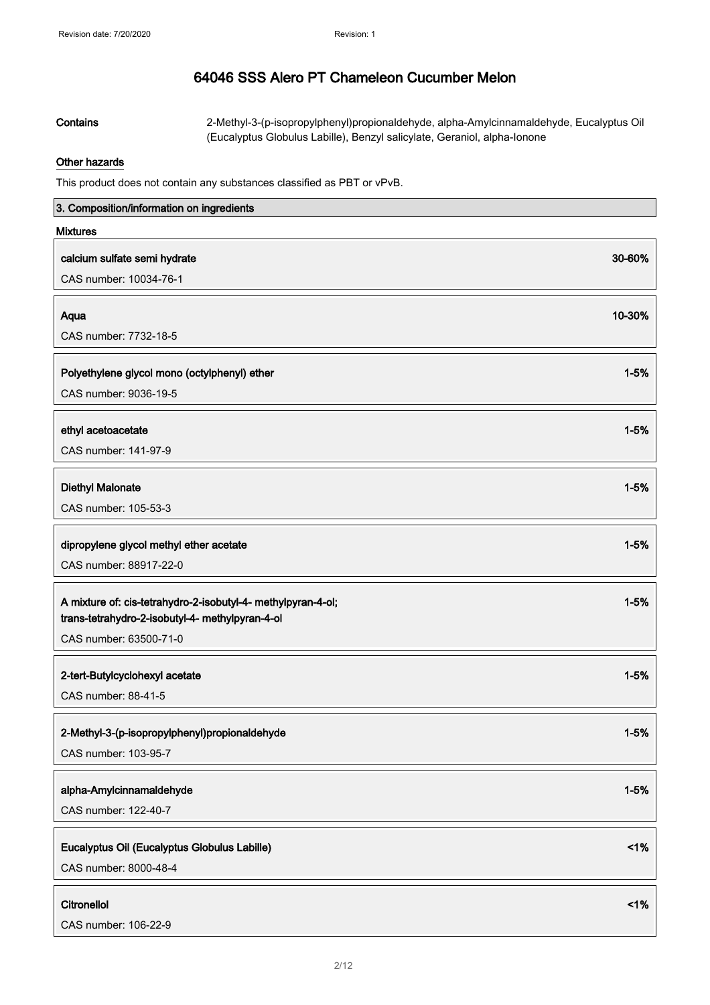Contains 2-Methyl-3-(p-isopropylphenyl)propionaldehyde, alpha-Amylcinnamaldehyde, Eucalyptus Oil (Eucalyptus Globulus Labille), Benzyl salicylate, Geraniol, alpha-Ionone

## Other hazards

This product does not contain any substances classified as PBT or vPvB.

| 3. Composition/information on ingredients                                                                       |          |
|-----------------------------------------------------------------------------------------------------------------|----------|
| <b>Mixtures</b>                                                                                                 |          |
| calcium sulfate semi hydrate                                                                                    | 30-60%   |
| CAS number: 10034-76-1                                                                                          |          |
|                                                                                                                 |          |
| Aqua<br>CAS number: 7732-18-5                                                                                   | 10-30%   |
|                                                                                                                 |          |
| Polyethylene glycol mono (octylphenyl) ether                                                                    | $1 - 5%$ |
| CAS number: 9036-19-5                                                                                           |          |
| ethyl acetoacetate                                                                                              | $1 - 5%$ |
| CAS number: 141-97-9                                                                                            |          |
|                                                                                                                 |          |
| <b>Diethyl Malonate</b>                                                                                         | $1 - 5%$ |
| CAS number: 105-53-3                                                                                            |          |
| dipropylene glycol methyl ether acetate                                                                         | $1 - 5%$ |
| CAS number: 88917-22-0                                                                                          |          |
|                                                                                                                 |          |
| A mixture of: cis-tetrahydro-2-isobutyl-4- methylpyran-4-ol;<br>trans-tetrahydro-2-isobutyl-4- methylpyran-4-ol | $1 - 5%$ |
| CAS number: 63500-71-0                                                                                          |          |
|                                                                                                                 |          |
| 2-tert-Butylcyclohexyl acetate<br>CAS number: 88-41-5                                                           | $1 - 5%$ |
|                                                                                                                 |          |
| 2-Methyl-3-(p-isopropylphenyl)propionaldehyde                                                                   | $1 - 5%$ |
| CAS number: 103-95-7                                                                                            |          |
| alpha-Amylcinnamaldehyde                                                                                        | $1 - 5%$ |
| CAS number: 122-40-7                                                                                            |          |
|                                                                                                                 |          |
| Eucalyptus Oil (Eucalyptus Globulus Labille)                                                                    | $<$ 1%   |
| CAS number: 8000-48-4                                                                                           |          |
| Citronellol                                                                                                     | $<$ 1%   |
| CAS number: 106-22-9                                                                                            |          |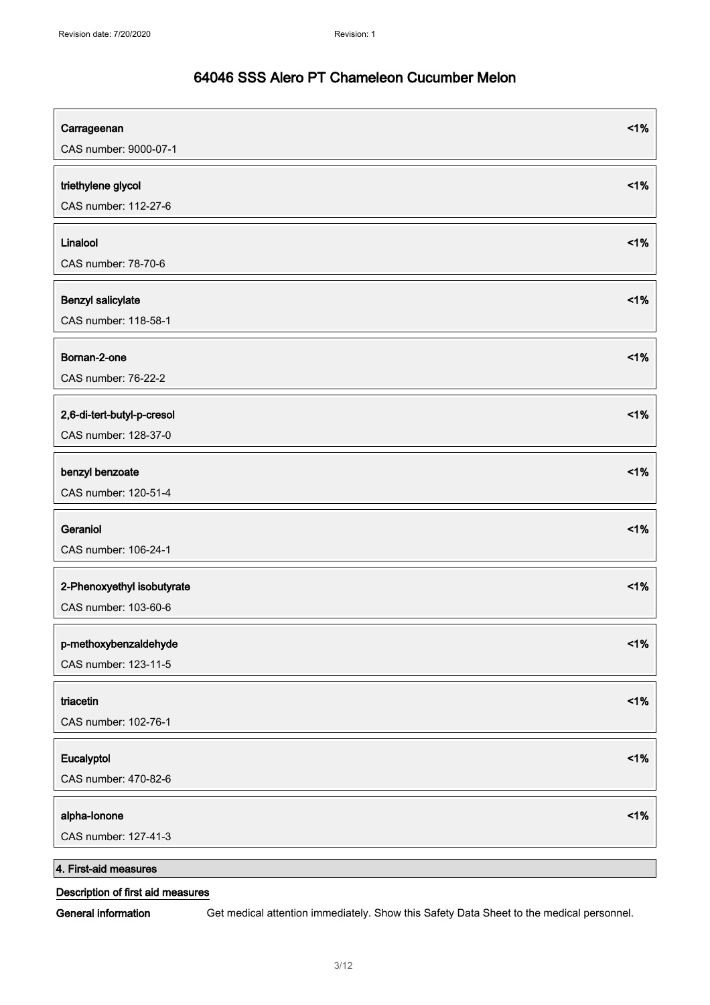| Carrageenan<br>CAS number: 9000-07-1               | 1% |
|----------------------------------------------------|----|
| triethylene glycol<br>CAS number: 112-27-6         | 1% |
| Linalool<br>CAS number: 78-70-6                    | 1% |
| Benzyl salicylate<br>CAS number: 118-58-1          | 1% |
| Bornan-2-one<br>CAS number: 76-22-2                | 1% |
| 2,6-di-tert-butyl-p-cresol<br>CAS number: 128-37-0 | 1% |
| benzyl benzoate<br>CAS number: 120-51-4            | 1% |
| Geraniol<br>CAS number: 106-24-1                   | 1% |
| 2-Phenoxyethyl isobutyrate<br>CAS number: 103-60-6 | 1% |
| p-methoxybenzaldehyde<br>CAS number: 123-11-5      | 1% |
| triacetin<br>CAS number: 102-76-1                  | 1% |
| Eucalyptol<br>CAS number: 470-82-6                 | 1% |
| alpha-lonone<br>CAS number: 127-41-3               | 1% |
| 4. First-aid measures                              |    |

## Description of first aid measures

General information Get medical attention immediately. Show this Safety Data Sheet to the medical personnel.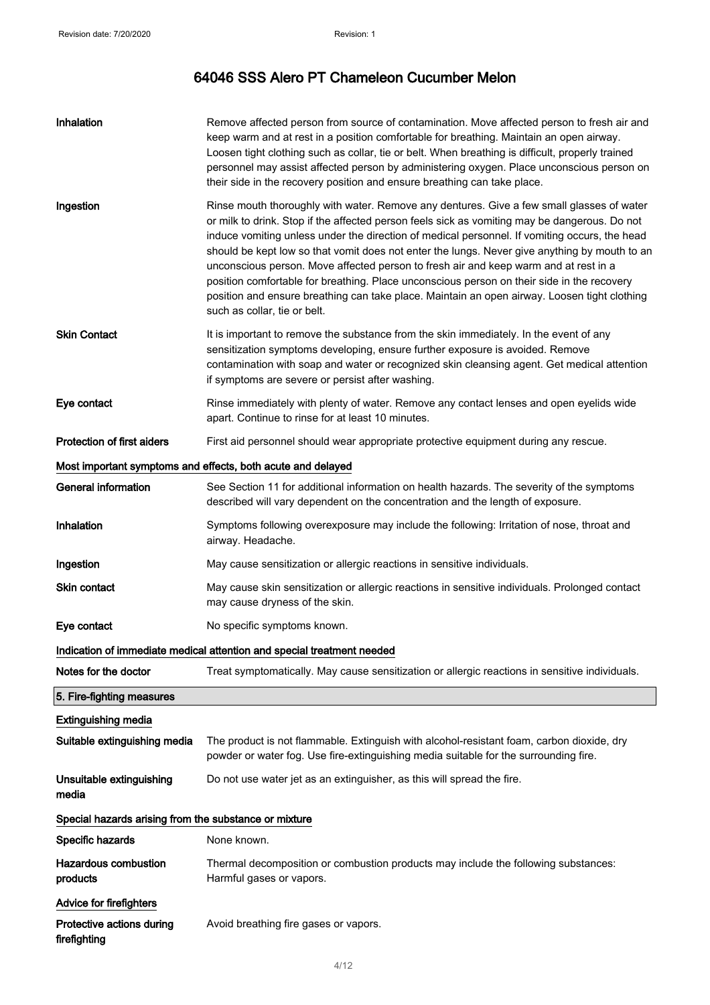| Inhalation                                                  | Remove affected person from source of contamination. Move affected person to fresh air and<br>keep warm and at rest in a position comfortable for breathing. Maintain an open airway.<br>Loosen tight clothing such as collar, tie or belt. When breathing is difficult, properly trained<br>personnel may assist affected person by administering oxygen. Place unconscious person on<br>their side in the recovery position and ensure breathing can take place.                                                                                                                                                                                                                                                 |  |
|-------------------------------------------------------------|--------------------------------------------------------------------------------------------------------------------------------------------------------------------------------------------------------------------------------------------------------------------------------------------------------------------------------------------------------------------------------------------------------------------------------------------------------------------------------------------------------------------------------------------------------------------------------------------------------------------------------------------------------------------------------------------------------------------|--|
| Ingestion                                                   | Rinse mouth thoroughly with water. Remove any dentures. Give a few small glasses of water<br>or milk to drink. Stop if the affected person feels sick as vomiting may be dangerous. Do not<br>induce vomiting unless under the direction of medical personnel. If vomiting occurs, the head<br>should be kept low so that vomit does not enter the lungs. Never give anything by mouth to an<br>unconscious person. Move affected person to fresh air and keep warm and at rest in a<br>position comfortable for breathing. Place unconscious person on their side in the recovery<br>position and ensure breathing can take place. Maintain an open airway. Loosen tight clothing<br>such as collar, tie or belt. |  |
| <b>Skin Contact</b>                                         | It is important to remove the substance from the skin immediately. In the event of any<br>sensitization symptoms developing, ensure further exposure is avoided. Remove<br>contamination with soap and water or recognized skin cleansing agent. Get medical attention<br>if symptoms are severe or persist after washing.                                                                                                                                                                                                                                                                                                                                                                                         |  |
| Eye contact                                                 | Rinse immediately with plenty of water. Remove any contact lenses and open eyelids wide<br>apart. Continue to rinse for at least 10 minutes.                                                                                                                                                                                                                                                                                                                                                                                                                                                                                                                                                                       |  |
| <b>Protection of first aiders</b>                           | First aid personnel should wear appropriate protective equipment during any rescue.                                                                                                                                                                                                                                                                                                                                                                                                                                                                                                                                                                                                                                |  |
| Most important symptoms and effects, both acute and delayed |                                                                                                                                                                                                                                                                                                                                                                                                                                                                                                                                                                                                                                                                                                                    |  |
| <b>General information</b>                                  | See Section 11 for additional information on health hazards. The severity of the symptoms<br>described will vary dependent on the concentration and the length of exposure.                                                                                                                                                                                                                                                                                                                                                                                                                                                                                                                                        |  |
| Inhalation                                                  | Symptoms following overexposure may include the following: Irritation of nose, throat and<br>airway. Headache.                                                                                                                                                                                                                                                                                                                                                                                                                                                                                                                                                                                                     |  |
| Ingestion                                                   | May cause sensitization or allergic reactions in sensitive individuals.                                                                                                                                                                                                                                                                                                                                                                                                                                                                                                                                                                                                                                            |  |
| <b>Skin contact</b>                                         | May cause skin sensitization or allergic reactions in sensitive individuals. Prolonged contact<br>may cause dryness of the skin.                                                                                                                                                                                                                                                                                                                                                                                                                                                                                                                                                                                   |  |
| Eye contact                                                 | No specific symptoms known.                                                                                                                                                                                                                                                                                                                                                                                                                                                                                                                                                                                                                                                                                        |  |
|                                                             | Indication of immediate medical attention and special treatment needed                                                                                                                                                                                                                                                                                                                                                                                                                                                                                                                                                                                                                                             |  |
| Notes for the doctor                                        | Treat symptomatically. May cause sensitization or allergic reactions in sensitive individuals.                                                                                                                                                                                                                                                                                                                                                                                                                                                                                                                                                                                                                     |  |
| 5. Fire-fighting measures                                   |                                                                                                                                                                                                                                                                                                                                                                                                                                                                                                                                                                                                                                                                                                                    |  |
| <b>Extinguishing media</b>                                  |                                                                                                                                                                                                                                                                                                                                                                                                                                                                                                                                                                                                                                                                                                                    |  |
| Suitable extinguishing media                                | The product is not flammable. Extinguish with alcohol-resistant foam, carbon dioxide, dry<br>powder or water fog. Use fire-extinguishing media suitable for the surrounding fire.                                                                                                                                                                                                                                                                                                                                                                                                                                                                                                                                  |  |
| Unsuitable extinguishing<br>media                           | Do not use water jet as an extinguisher, as this will spread the fire.                                                                                                                                                                                                                                                                                                                                                                                                                                                                                                                                                                                                                                             |  |
| Special hazards arising from the substance or mixture       |                                                                                                                                                                                                                                                                                                                                                                                                                                                                                                                                                                                                                                                                                                                    |  |
| Specific hazards                                            | None known.                                                                                                                                                                                                                                                                                                                                                                                                                                                                                                                                                                                                                                                                                                        |  |
| <b>Hazardous combustion</b><br>products                     | Thermal decomposition or combustion products may include the following substances:<br>Harmful gases or vapors.                                                                                                                                                                                                                                                                                                                                                                                                                                                                                                                                                                                                     |  |
| <b>Advice for firefighters</b>                              |                                                                                                                                                                                                                                                                                                                                                                                                                                                                                                                                                                                                                                                                                                                    |  |
| Protective actions during<br>firefighting                   | Avoid breathing fire gases or vapors.                                                                                                                                                                                                                                                                                                                                                                                                                                                                                                                                                                                                                                                                              |  |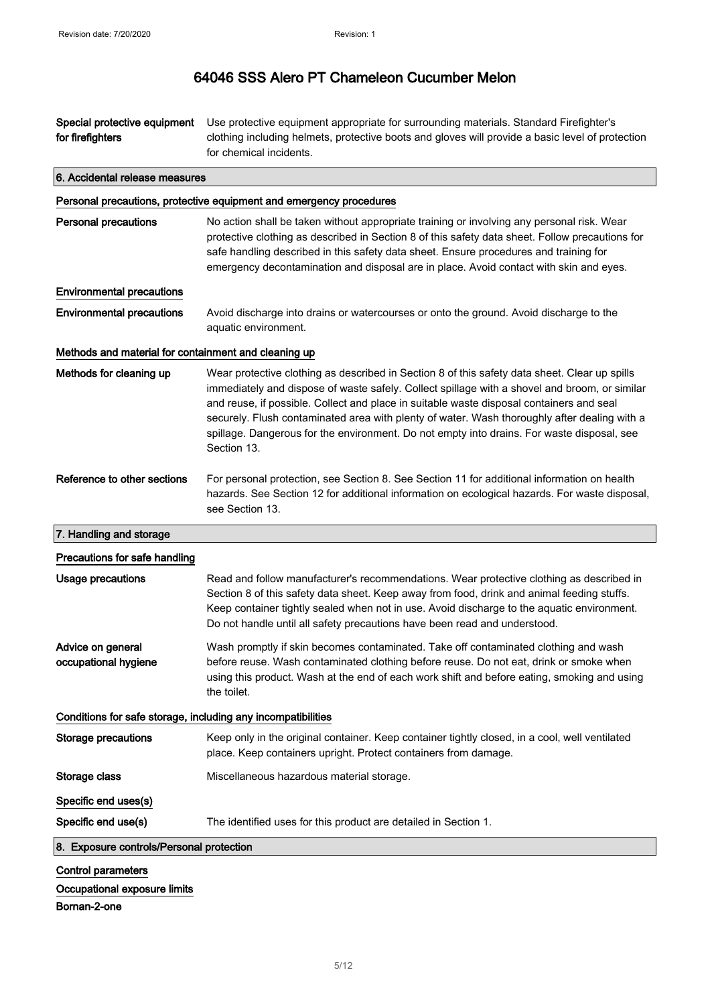| Special protective equipment<br>for firefighters             | Use protective equipment appropriate for surrounding materials. Standard Firefighter's<br>clothing including helmets, protective boots and gloves will provide a basic level of protection<br>for chemical incidents.                                                                                                                                                                                                                                                                                   |
|--------------------------------------------------------------|---------------------------------------------------------------------------------------------------------------------------------------------------------------------------------------------------------------------------------------------------------------------------------------------------------------------------------------------------------------------------------------------------------------------------------------------------------------------------------------------------------|
| 6. Accidental release measures                               |                                                                                                                                                                                                                                                                                                                                                                                                                                                                                                         |
|                                                              | Personal precautions, protective equipment and emergency procedures                                                                                                                                                                                                                                                                                                                                                                                                                                     |
| <b>Personal precautions</b>                                  | No action shall be taken without appropriate training or involving any personal risk. Wear<br>protective clothing as described in Section 8 of this safety data sheet. Follow precautions for<br>safe handling described in this safety data sheet. Ensure procedures and training for<br>emergency decontamination and disposal are in place. Avoid contact with skin and eyes.                                                                                                                        |
| <b>Environmental precautions</b>                             |                                                                                                                                                                                                                                                                                                                                                                                                                                                                                                         |
| <b>Environmental precautions</b>                             | Avoid discharge into drains or watercourses or onto the ground. Avoid discharge to the<br>aquatic environment.                                                                                                                                                                                                                                                                                                                                                                                          |
| Methods and material for containment and cleaning up         |                                                                                                                                                                                                                                                                                                                                                                                                                                                                                                         |
| Methods for cleaning up                                      | Wear protective clothing as described in Section 8 of this safety data sheet. Clear up spills<br>immediately and dispose of waste safely. Collect spillage with a shovel and broom, or similar<br>and reuse, if possible. Collect and place in suitable waste disposal containers and seal<br>securely. Flush contaminated area with plenty of water. Wash thoroughly after dealing with a<br>spillage. Dangerous for the environment. Do not empty into drains. For waste disposal, see<br>Section 13. |
| Reference to other sections                                  | For personal protection, see Section 8. See Section 11 for additional information on health<br>hazards. See Section 12 for additional information on ecological hazards. For waste disposal,<br>see Section 13.                                                                                                                                                                                                                                                                                         |
| 7. Handling and storage                                      |                                                                                                                                                                                                                                                                                                                                                                                                                                                                                                         |
| Precautions for safe handling                                |                                                                                                                                                                                                                                                                                                                                                                                                                                                                                                         |
| <b>Usage precautions</b>                                     | Read and follow manufacturer's recommendations. Wear protective clothing as described in<br>Section 8 of this safety data sheet. Keep away from food, drink and animal feeding stuffs.<br>Keep container tightly sealed when not in use. Avoid discharge to the aquatic environment.<br>Do not handle until all safety precautions have been read and understood.                                                                                                                                       |
| Advice on general<br>occupational hygiene                    | Wash promptly if skin becomes contaminated. Take off contaminated clothing and wash<br>before reuse. Wash contaminated clothing before reuse. Do not eat, drink or smoke when<br>using this product. Wash at the end of each work shift and before eating, smoking and using<br>the toilet.                                                                                                                                                                                                             |
| Conditions for safe storage, including any incompatibilities |                                                                                                                                                                                                                                                                                                                                                                                                                                                                                                         |
| <b>Storage precautions</b>                                   | Keep only in the original container. Keep container tightly closed, in a cool, well ventilated<br>place. Keep containers upright. Protect containers from damage.                                                                                                                                                                                                                                                                                                                                       |
| Storage class                                                | Miscellaneous hazardous material storage.                                                                                                                                                                                                                                                                                                                                                                                                                                                               |
| Specific end uses(s)                                         |                                                                                                                                                                                                                                                                                                                                                                                                                                                                                                         |
| Specific end use(s)                                          | The identified uses for this product are detailed in Section 1.                                                                                                                                                                                                                                                                                                                                                                                                                                         |
| 8. Exposure controls/Personal protection                     |                                                                                                                                                                                                                                                                                                                                                                                                                                                                                                         |
| <b>Control parameters</b><br>Occupational exposure limits    |                                                                                                                                                                                                                                                                                                                                                                                                                                                                                                         |

Bornan-2-one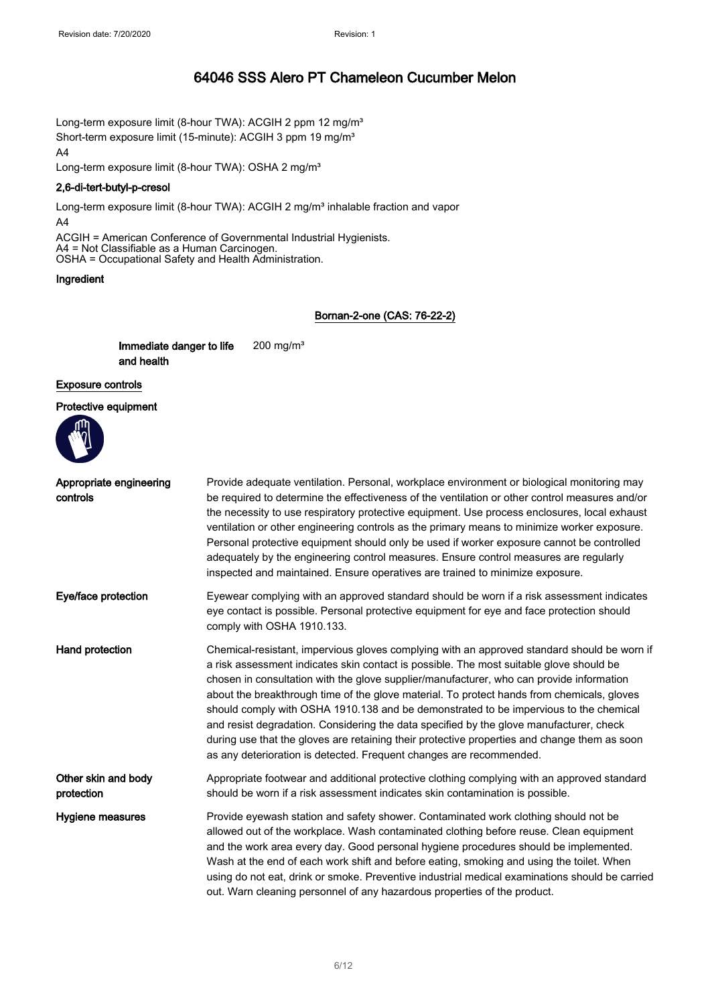Long-term exposure limit (8-hour TWA): ACGIH 2 ppm 12 mg/m<sup>3</sup> Short-term exposure limit (15-minute): ACGIH 3 ppm 19 mg/m<sup>3</sup> A4

Long-term exposure limit (8-hour TWA): OSHA 2 mg/m<sup>3</sup>

#### 2,6-di-tert-butyl-p-cresol

Long-term exposure limit (8-hour TWA): ACGIH 2 mg/m<sup>3</sup> inhalable fraction and vapor A4

ACGIH = American Conference of Governmental Industrial Hygienists. A4 = Not Classifiable as a Human Carcinogen. OSHA = Occupational Safety and Health Administration.

#### Ingredient

#### Bornan-2-one (CAS: 76-22-2)

Immediate danger to life and health 200 mg/m³

## Exposure controls

Protective equipment



| Appropriate engineering<br>controls | Provide adequate ventilation. Personal, workplace environment or biological monitoring may<br>be required to determine the effectiveness of the ventilation or other control measures and/or<br>the necessity to use respiratory protective equipment. Use process enclosures, local exhaust<br>ventilation or other engineering controls as the primary means to minimize worker exposure.<br>Personal protective equipment should only be used if worker exposure cannot be controlled<br>adequately by the engineering control measures. Ensure control measures are regularly<br>inspected and maintained. Ensure operatives are trained to minimize exposure.                                                                          |
|-------------------------------------|---------------------------------------------------------------------------------------------------------------------------------------------------------------------------------------------------------------------------------------------------------------------------------------------------------------------------------------------------------------------------------------------------------------------------------------------------------------------------------------------------------------------------------------------------------------------------------------------------------------------------------------------------------------------------------------------------------------------------------------------|
| Eye/face protection                 | Eyewear complying with an approved standard should be worn if a risk assessment indicates<br>eye contact is possible. Personal protective equipment for eye and face protection should<br>comply with OSHA 1910.133.                                                                                                                                                                                                                                                                                                                                                                                                                                                                                                                        |
| Hand protection                     | Chemical-resistant, impervious gloves complying with an approved standard should be worn if<br>a risk assessment indicates skin contact is possible. The most suitable glove should be<br>chosen in consultation with the glove supplier/manufacturer, who can provide information<br>about the breakthrough time of the glove material. To protect hands from chemicals, gloves<br>should comply with OSHA 1910.138 and be demonstrated to be impervious to the chemical<br>and resist degradation. Considering the data specified by the glove manufacturer, check<br>during use that the gloves are retaining their protective properties and change them as soon<br>as any deterioration is detected. Frequent changes are recommended. |
| Other skin and body<br>protection   | Appropriate footwear and additional protective clothing complying with an approved standard<br>should be worn if a risk assessment indicates skin contamination is possible.                                                                                                                                                                                                                                                                                                                                                                                                                                                                                                                                                                |
| Hygiene measures                    | Provide eyewash station and safety shower. Contaminated work clothing should not be<br>allowed out of the workplace. Wash contaminated clothing before reuse. Clean equipment<br>and the work area every day. Good personal hygiene procedures should be implemented.<br>Wash at the end of each work shift and before eating, smoking and using the toilet. When<br>using do not eat, drink or smoke. Preventive industrial medical examinations should be carried<br>out. Warn cleaning personnel of any hazardous properties of the product.                                                                                                                                                                                             |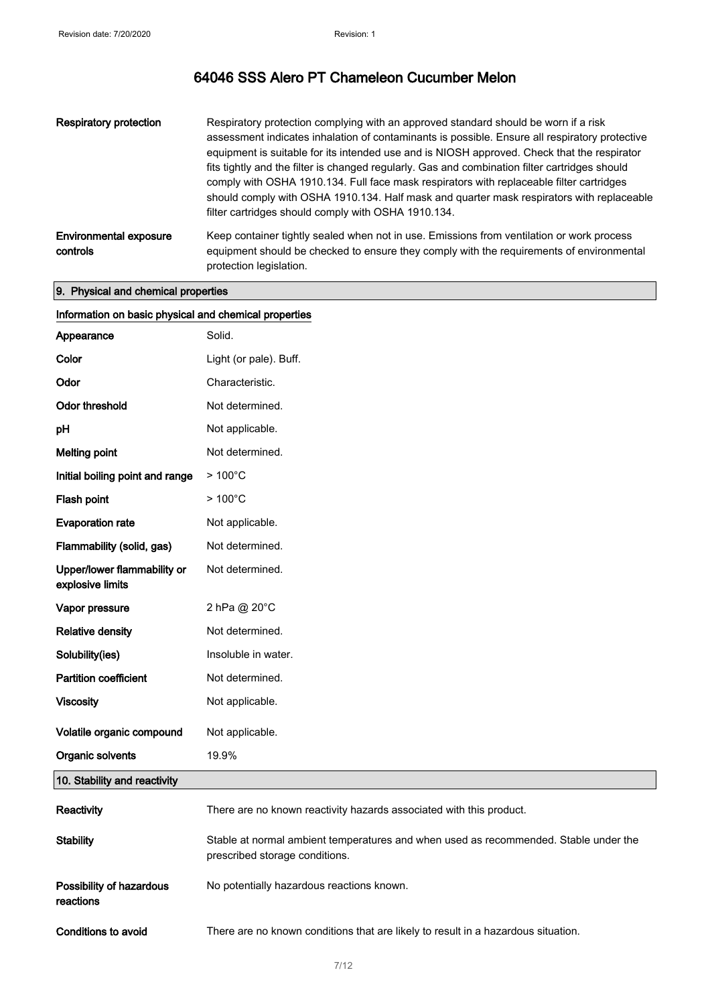| Respiratory protection                    | Respiratory protection complying with an approved standard should be worn if a risk<br>assessment indicates inhalation of contaminants is possible. Ensure all respiratory protective<br>equipment is suitable for its intended use and is NIOSH approved. Check that the respirator<br>fits tightly and the filter is changed regularly. Gas and combination filter cartridges should<br>comply with OSHA 1910.134. Full face mask respirators with replaceable filter cartridges<br>should comply with OSHA 1910.134. Half mask and quarter mask respirators with replaceable<br>filter cartridges should comply with OSHA 1910.134. |
|-------------------------------------------|----------------------------------------------------------------------------------------------------------------------------------------------------------------------------------------------------------------------------------------------------------------------------------------------------------------------------------------------------------------------------------------------------------------------------------------------------------------------------------------------------------------------------------------------------------------------------------------------------------------------------------------|
| <b>Environmental exposure</b><br>controls | Keep container tightly sealed when not in use. Emissions from ventilation or work process<br>equipment should be checked to ensure they comply with the requirements of environmental<br>protection legislation.                                                                                                                                                                                                                                                                                                                                                                                                                       |

## 9. Physical and chemical properties

| Information on basic physical and chemical properties |                                                                                                                        |
|-------------------------------------------------------|------------------------------------------------------------------------------------------------------------------------|
| Appearance                                            | Solid.                                                                                                                 |
| Color                                                 | Light (or pale). Buff.                                                                                                 |
| Odor                                                  | Characteristic.                                                                                                        |
| Odor threshold                                        | Not determined.                                                                                                        |
| pH                                                    | Not applicable.                                                                                                        |
| <b>Melting point</b>                                  | Not determined.                                                                                                        |
| Initial boiling point and range                       | $>100^{\circ}$ C                                                                                                       |
| Flash point                                           | $>100^{\circ}$ C                                                                                                       |
| <b>Evaporation rate</b>                               | Not applicable.                                                                                                        |
| Flammability (solid, gas)                             | Not determined.                                                                                                        |
| Upper/lower flammability or<br>explosive limits       | Not determined.                                                                                                        |
| Vapor pressure                                        | 2 hPa @ 20°C                                                                                                           |
| <b>Relative density</b>                               | Not determined.                                                                                                        |
| Solubility(ies)                                       | Insoluble in water.                                                                                                    |
| <b>Partition coefficient</b>                          | Not determined.                                                                                                        |
| <b>Viscosity</b>                                      | Not applicable.                                                                                                        |
| Volatile organic compound                             | Not applicable.                                                                                                        |
| Organic solvents                                      | 19.9%                                                                                                                  |
| 10. Stability and reactivity                          |                                                                                                                        |
| Reactivity                                            | There are no known reactivity hazards associated with this product.                                                    |
| <b>Stability</b>                                      | Stable at normal ambient temperatures and when used as recommended. Stable under the<br>prescribed storage conditions. |
| Possibility of hazardous<br>reactions                 | No potentially hazardous reactions known.                                                                              |
| Conditions to avoid                                   | There are no known conditions that are likely to result in a hazardous situation.                                      |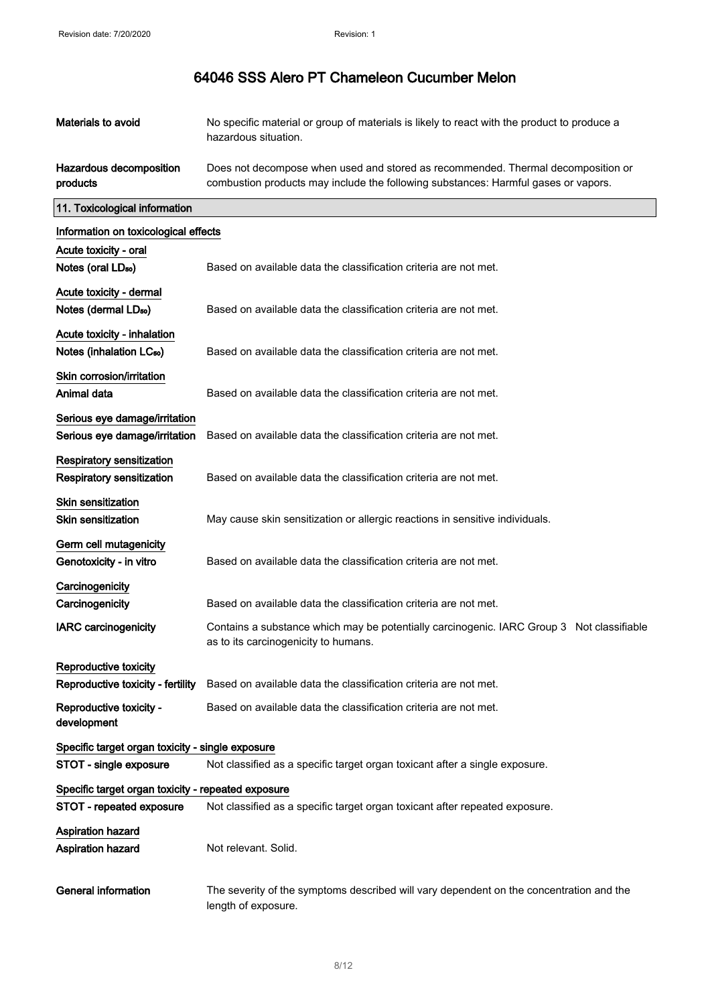| Materials to avoid                                                  | No specific material or group of materials is likely to react with the product to produce a<br>hazardous situation.                                                    |
|---------------------------------------------------------------------|------------------------------------------------------------------------------------------------------------------------------------------------------------------------|
| Hazardous decomposition<br>products                                 | Does not decompose when used and stored as recommended. Thermal decomposition or<br>combustion products may include the following substances: Harmful gases or vapors. |
| 11. Toxicological information                                       |                                                                                                                                                                        |
| Information on toxicological effects                                |                                                                                                                                                                        |
| Acute toxicity - oral                                               |                                                                                                                                                                        |
| Notes (oral LD <sub>50</sub> )                                      | Based on available data the classification criteria are not met.                                                                                                       |
| Acute toxicity - dermal<br>Notes (dermal LD <sub>50</sub> )         | Based on available data the classification criteria are not met.                                                                                                       |
| Acute toxicity - inhalation<br>Notes (inhalation LC <sub>50</sub> ) | Based on available data the classification criteria are not met.                                                                                                       |
| Skin corrosion/irritation<br>Animal data                            | Based on available data the classification criteria are not met.                                                                                                       |
| Serious eye damage/irritation<br>Serious eye damage/irritation      | Based on available data the classification criteria are not met.                                                                                                       |
| <b>Respiratory sensitization</b><br>Respiratory sensitization       | Based on available data the classification criteria are not met.                                                                                                       |
| Skin sensitization<br><b>Skin sensitization</b>                     | May cause skin sensitization or allergic reactions in sensitive individuals.                                                                                           |
| Germ cell mutagenicity<br>Genotoxicity - in vitro                   | Based on available data the classification criteria are not met.                                                                                                       |
| Carcinogenicity                                                     |                                                                                                                                                                        |
| Carcinogenicity                                                     | Based on available data the classification criteria are not met.                                                                                                       |
| <b>IARC</b> carcinogenicity                                         | Contains a substance which may be potentially carcinogenic. IARC Group 3 Not classifiable<br>as to its carcinogenicity to humans.                                      |
| Reproductive toxicity                                               |                                                                                                                                                                        |
| Reproductive toxicity - fertility                                   | Based on available data the classification criteria are not met.                                                                                                       |
| Reproductive toxicity -<br>development                              | Based on available data the classification criteria are not met.                                                                                                       |
| Specific target organ toxicity - single exposure                    |                                                                                                                                                                        |
| STOT - single exposure                                              | Not classified as a specific target organ toxicant after a single exposure.                                                                                            |
| Specific target organ toxicity - repeated exposure                  |                                                                                                                                                                        |
| STOT - repeated exposure                                            | Not classified as a specific target organ toxicant after repeated exposure.                                                                                            |
| <b>Aspiration hazard</b><br>Aspiration hazard                       | Not relevant. Solid.                                                                                                                                                   |
| <b>General information</b>                                          | The severity of the symptoms described will vary dependent on the concentration and the<br>length of exposure.                                                         |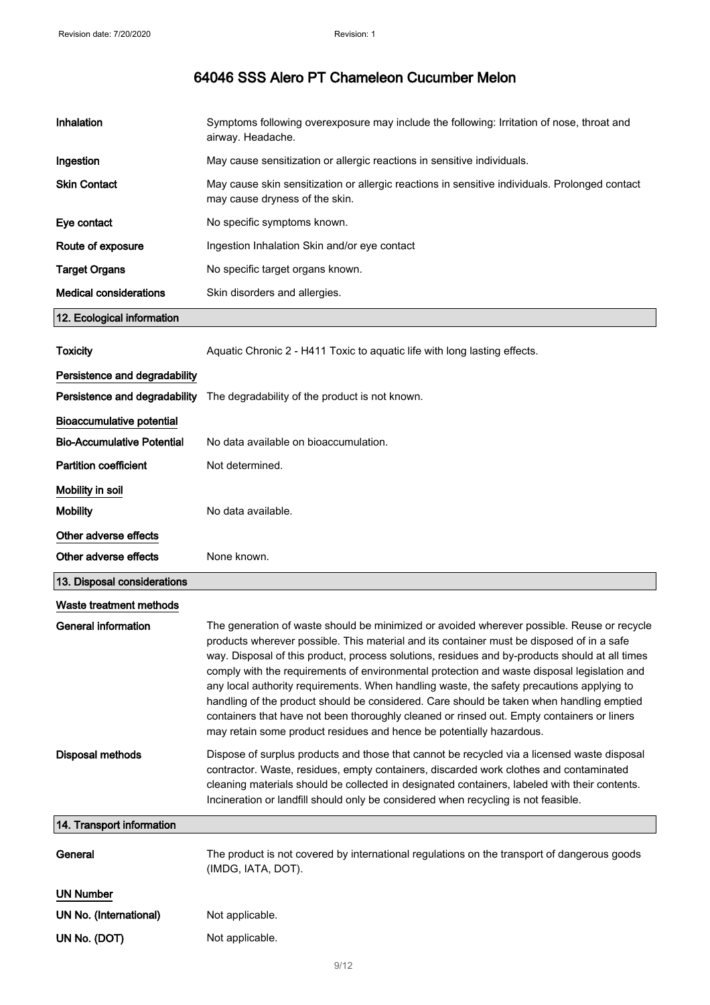| Inhalation                        | Symptoms following overexposure may include the following: Irritation of nose, throat and<br>airway. Headache.                                                                                                                                                                                                                                                                                                                                                                                                                                                                                                                                                                                                                                          |
|-----------------------------------|---------------------------------------------------------------------------------------------------------------------------------------------------------------------------------------------------------------------------------------------------------------------------------------------------------------------------------------------------------------------------------------------------------------------------------------------------------------------------------------------------------------------------------------------------------------------------------------------------------------------------------------------------------------------------------------------------------------------------------------------------------|
| Ingestion                         | May cause sensitization or allergic reactions in sensitive individuals.                                                                                                                                                                                                                                                                                                                                                                                                                                                                                                                                                                                                                                                                                 |
| <b>Skin Contact</b>               | May cause skin sensitization or allergic reactions in sensitive individuals. Prolonged contact<br>may cause dryness of the skin.                                                                                                                                                                                                                                                                                                                                                                                                                                                                                                                                                                                                                        |
| Eye contact                       | No specific symptoms known.                                                                                                                                                                                                                                                                                                                                                                                                                                                                                                                                                                                                                                                                                                                             |
| Route of exposure                 | Ingestion Inhalation Skin and/or eye contact                                                                                                                                                                                                                                                                                                                                                                                                                                                                                                                                                                                                                                                                                                            |
| <b>Target Organs</b>              | No specific target organs known.                                                                                                                                                                                                                                                                                                                                                                                                                                                                                                                                                                                                                                                                                                                        |
| <b>Medical considerations</b>     | Skin disorders and allergies.                                                                                                                                                                                                                                                                                                                                                                                                                                                                                                                                                                                                                                                                                                                           |
| 12. Ecological information        |                                                                                                                                                                                                                                                                                                                                                                                                                                                                                                                                                                                                                                                                                                                                                         |
| <b>Toxicity</b>                   | Aquatic Chronic 2 - H411 Toxic to aquatic life with long lasting effects.                                                                                                                                                                                                                                                                                                                                                                                                                                                                                                                                                                                                                                                                               |
| Persistence and degradability     |                                                                                                                                                                                                                                                                                                                                                                                                                                                                                                                                                                                                                                                                                                                                                         |
| Persistence and degradability     | The degradability of the product is not known.                                                                                                                                                                                                                                                                                                                                                                                                                                                                                                                                                                                                                                                                                                          |
| <b>Bioaccumulative potential</b>  |                                                                                                                                                                                                                                                                                                                                                                                                                                                                                                                                                                                                                                                                                                                                                         |
| <b>Bio-Accumulative Potential</b> | No data available on bioaccumulation.                                                                                                                                                                                                                                                                                                                                                                                                                                                                                                                                                                                                                                                                                                                   |
| <b>Partition coefficient</b>      | Not determined.                                                                                                                                                                                                                                                                                                                                                                                                                                                                                                                                                                                                                                                                                                                                         |
| Mobility in soil                  |                                                                                                                                                                                                                                                                                                                                                                                                                                                                                                                                                                                                                                                                                                                                                         |
| <b>Mobility</b>                   | No data available.                                                                                                                                                                                                                                                                                                                                                                                                                                                                                                                                                                                                                                                                                                                                      |
| Other adverse effects             |                                                                                                                                                                                                                                                                                                                                                                                                                                                                                                                                                                                                                                                                                                                                                         |
| Other adverse effects             | None known.                                                                                                                                                                                                                                                                                                                                                                                                                                                                                                                                                                                                                                                                                                                                             |
| 13. Disposal considerations       |                                                                                                                                                                                                                                                                                                                                                                                                                                                                                                                                                                                                                                                                                                                                                         |
| Waste treatment methods           |                                                                                                                                                                                                                                                                                                                                                                                                                                                                                                                                                                                                                                                                                                                                                         |
| <b>General information</b>        | The generation of waste should be minimized or avoided wherever possible. Reuse or recycle<br>products wherever possible. This material and its container must be disposed of in a safe<br>way. Disposal of this product, process solutions, residues and by-products should at all times<br>comply with the requirements of environmental protection and waste disposal legislation and<br>any local authority requirements. When handling waste, the safety precautions applying to<br>handling of the product should be considered. Care should be taken when handling emptied<br>containers that have not been thoroughly cleaned or rinsed out. Empty containers or liners<br>may retain some product residues and hence be potentially hazardous. |
| <b>Disposal methods</b>           | Dispose of surplus products and those that cannot be recycled via a licensed waste disposal<br>contractor. Waste, residues, empty containers, discarded work clothes and contaminated<br>cleaning materials should be collected in designated containers, labeled with their contents.<br>Incineration or landfill should only be considered when recycling is not feasible.                                                                                                                                                                                                                                                                                                                                                                            |
| 14. Transport information         |                                                                                                                                                                                                                                                                                                                                                                                                                                                                                                                                                                                                                                                                                                                                                         |
| General                           | The product is not covered by international regulations on the transport of dangerous goods<br>(IMDG, IATA, DOT).                                                                                                                                                                                                                                                                                                                                                                                                                                                                                                                                                                                                                                       |
| <b>UN Number</b>                  |                                                                                                                                                                                                                                                                                                                                                                                                                                                                                                                                                                                                                                                                                                                                                         |
|                                   |                                                                                                                                                                                                                                                                                                                                                                                                                                                                                                                                                                                                                                                                                                                                                         |
| UN No. (International)            | Not applicable.                                                                                                                                                                                                                                                                                                                                                                                                                                                                                                                                                                                                                                                                                                                                         |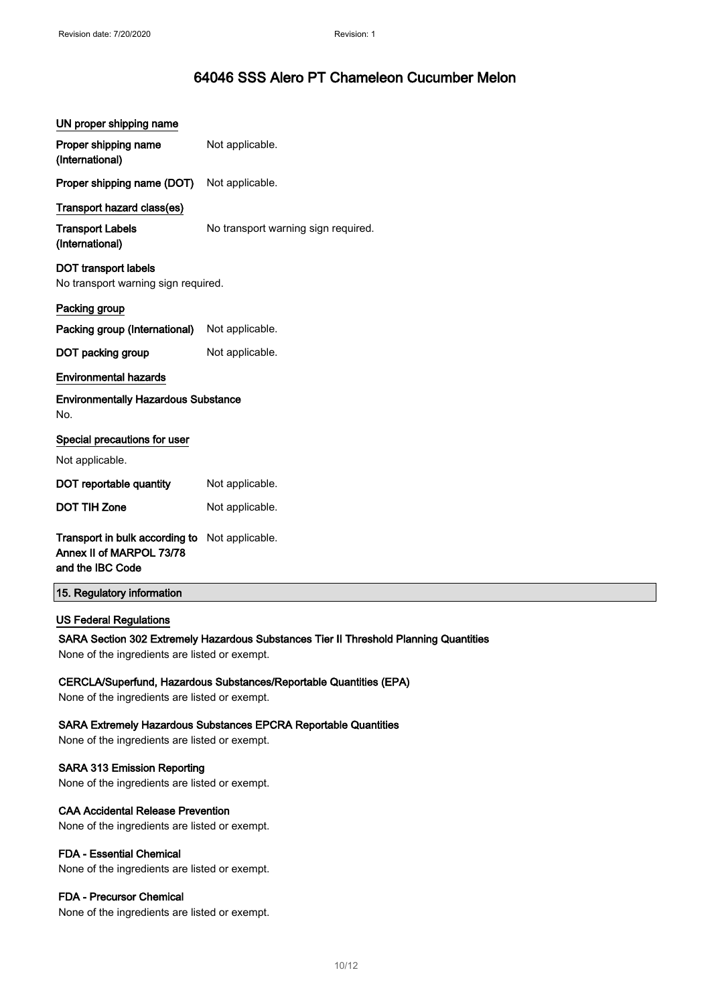| UN proper shipping name                                                        |                                                                                       |
|--------------------------------------------------------------------------------|---------------------------------------------------------------------------------------|
| Proper shipping name<br>(International)                                        | Not applicable.                                                                       |
| Proper shipping name (DOT)                                                     | Not applicable.                                                                       |
| Transport hazard class(es)                                                     |                                                                                       |
| <b>Transport Labels</b><br>(International)                                     | No transport warning sign required.                                                   |
| <b>DOT transport labels</b><br>No transport warning sign required.             |                                                                                       |
| Packing group                                                                  |                                                                                       |
| Packing group (International)                                                  | Not applicable.                                                                       |
| DOT packing group                                                              | Not applicable.                                                                       |
| <b>Environmental hazards</b>                                                   |                                                                                       |
| <b>Environmentally Hazardous Substance</b><br>No.                              |                                                                                       |
| Special precautions for user                                                   |                                                                                       |
| Not applicable.                                                                |                                                                                       |
| DOT reportable quantity                                                        | Not applicable.                                                                       |
| <b>DOT TIH Zone</b>                                                            | Not applicable.                                                                       |
| Transport in bulk according to<br>Annex II of MARPOL 73/78<br>and the IBC Code | Not applicable.                                                                       |
| 15. Regulatory information                                                     |                                                                                       |
| <b>US Federal Regulations</b>                                                  |                                                                                       |
|                                                                                | SARA Section 302 Extremely Hazardous Substances Tier II Threshold Planning Quantities |
| None of the ingredients are listed or exempt.                                  |                                                                                       |
| None of the ingredients are listed or exempt.                                  | CERCLA/Superfund, Hazardous Substances/Reportable Quantities (EPA)                    |
| None of the ingredients are listed or exempt.                                  | <b>SARA Extremely Hazardous Substances EPCRA Reportable Quantities</b>                |
|                                                                                |                                                                                       |

## SARA 313 Emission Reporting

None of the ingredients are listed or exempt.

### CAA Accidental Release Prevention

None of the ingredients are listed or exempt.

## FDA - Essential Chemical

None of the ingredients are listed or exempt.

## FDA - Precursor Chemical

None of the ingredients are listed or exempt.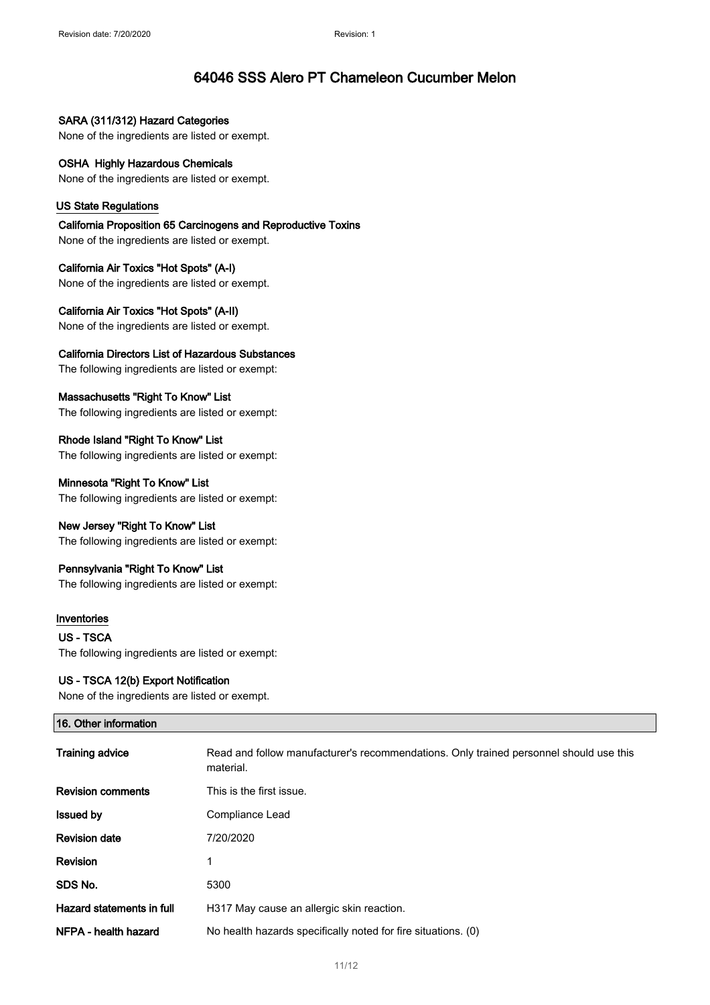SARA (311/312) Hazard Categories None of the ingredients are listed or exempt.

OSHA Highly Hazardous Chemicals None of the ingredients are listed or exempt.

### US State Regulations

California Proposition 65 Carcinogens and Reproductive Toxins None of the ingredients are listed or exempt.

California Air Toxics "Hot Spots" (A-I) None of the ingredients are listed or exempt.

California Air Toxics "Hot Spots" (A-II) None of the ingredients are listed or exempt.

California Directors List of Hazardous Substances

The following ingredients are listed or exempt:

Massachusetts "Right To Know" List The following ingredients are listed or exempt:

Rhode Island "Right To Know" List The following ingredients are listed or exempt:

Minnesota "Right To Know" List The following ingredients are listed or exempt:

New Jersey "Right To Know" List

The following ingredients are listed or exempt:

## Pennsylvania "Right To Know" List

The following ingredients are listed or exempt:

## Inventories

US - TSCA The following ingredients are listed or exempt:

#### US - TSCA 12(b) Export Notification

None of the ingredients are listed or exempt.

| 16. Other information     |                                                                                                     |
|---------------------------|-----------------------------------------------------------------------------------------------------|
| <b>Training advice</b>    | Read and follow manufacturer's recommendations. Only trained personnel should use this<br>material. |
| <b>Revision comments</b>  | This is the first issue.                                                                            |
| <b>Issued by</b>          | Compliance Lead                                                                                     |
| <b>Revision date</b>      | 7/20/2020                                                                                           |
| Revision                  | 1                                                                                                   |
| SDS No.                   | 5300                                                                                                |
| Hazard statements in full | H317 May cause an allergic skin reaction.                                                           |
| NFPA - health hazard      | No health hazards specifically noted for fire situations. (0)                                       |